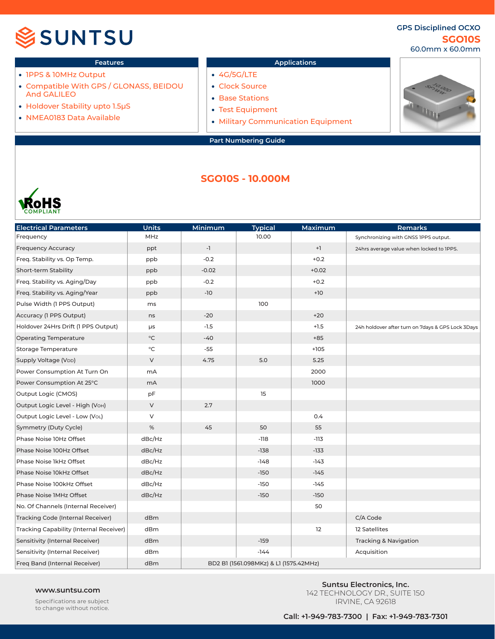## SSUNTSU

### **SGO10S GPS Disciplined OCXO** 60.0mm x 60.0mm

- 1PPS & 10MHz Output
- Compatible With GPS / GLONASS, BEIDOU And GALILEO
- Holdover Stability upto 1.5µS
- NMEA0183 Data Available

### **Features Applications**

- 4G/5G/LTE
- Clock Source
- Base Stations
- Test Equipment
- Military Communication Equipment



## **SGO10S - 10.000M**



| <b>Electrical Parameters</b>            | <b>Units</b>      | Minimum | <b>Typical</b>                         | Maximum | Remarks                                           |
|-----------------------------------------|-------------------|---------|----------------------------------------|---------|---------------------------------------------------|
| Frequency                               | MHz               |         | 10.00                                  |         | Synchronizing with GNSS IPPS output.              |
| <b>Frequency Accuracy</b>               | ppt               | $-1$    |                                        | $+1$    | 24hrs average value when locked to IPPS.          |
| Freq. Stability vs. Op Temp.            | ppb               | $-0.2$  |                                        | $+0.2$  |                                                   |
| Short-term Stability                    | ppb               | $-0.02$ |                                        | $+0.02$ |                                                   |
| Freq. Stability vs. Aging/Day           | ppb               | $-0.2$  |                                        | $+0.2$  |                                                   |
| Freq. Stability vs. Aging/Year          | ppb               | $-10$   |                                        | $+10$   |                                                   |
| Pulse Width (1 PPS Output)              | ms                |         | 100                                    |         |                                                   |
| Accuracy (1 PPS Output)                 | ns                | $-20$   |                                        | $+20$   |                                                   |
| Holdover 24Hrs Drift (1 PPS Output)     | μs                | $-1.5$  |                                        | $+1.5$  | 24h holdover after turn on 7days & GPS Lock 3Days |
| <b>Operating Temperature</b>            | $^\circ \text{C}$ | $-40$   |                                        | $+85$   |                                                   |
| <b>Storage Temperature</b>              | $^{\circ}$ C      | $-55$   |                                        | $+105$  |                                                   |
| Supply Voltage (V <sub>DD</sub> )       | V                 | 4.75    | 5.0                                    | 5.25    |                                                   |
| Power Consumption At Turn On            | mA                |         |                                        | 2000    |                                                   |
| Power Consumption At 25°C               | mA                |         |                                        | 1000    |                                                   |
| Output Logic (CMOS)                     | pF                |         | 15                                     |         |                                                   |
| Output Logic Level - High (Voн)         | $\mathsf{V}$      | 2.7     |                                        |         |                                                   |
| Output Logic Level - Low (VoL)          | V                 |         |                                        | 0.4     |                                                   |
| Symmetry (Duty Cycle)                   | $\%$              | 45      | 50                                     | 55      |                                                   |
| Phase Noise 10Hz Offset                 | dBc/Hz            |         | $-118$                                 | $-113$  |                                                   |
| Phase Noise 100Hz Offset                | dBc/Hz            |         | $-138$                                 | $-133$  |                                                   |
| Phase Noise 1kHz Offset                 | dBc/Hz            |         | $-148$                                 | -143    |                                                   |
| Phase Noise 10kHz Offset                | dBc/Hz            |         | $-150$                                 | $-145$  |                                                   |
| Phase Noise 100kHz Offset               | dBc/Hz            |         | $-150$                                 | $-145$  |                                                   |
| Phase Noise 1MHz Offset                 | dBc/Hz            |         | $-150$                                 | $-150$  |                                                   |
| No. Of Channels (Internal Receiver)     |                   |         |                                        | 50      |                                                   |
| Tracking Code (Internal Receiver)       | dBm               |         |                                        |         | C/A Code                                          |
| Tracking Capability (Internal Receiver) | dBm               |         |                                        | 12      | 12 Satellites                                     |
| Sensitivity (Internal Receiver)         | dBm               |         | $-159$                                 |         | <b>Tracking &amp; Navigation</b>                  |
| Sensitivity (Internal Receiver)         | dBm               |         | $-144$                                 |         | Acquisition                                       |
| Freq Band (Internal Receiver)           | dBm               |         | BD2 B1 (1561.098MKz) & L1 (1575.42MHz) |         |                                                   |

Specifications are subject to change without notice.

**www.suntsu.com**<br> **Suntsu Electronics, Inc.**<br> **Suntsu Electronics, Inc.**<br>  $\frac{1}{2}$ 142 TECHNOLOGY DR., SUITE 150 IRVINE, CA 92618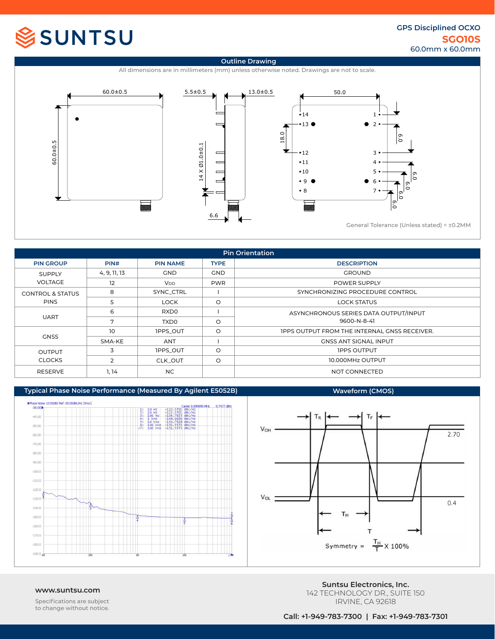# SSUNTSU

### **SGO10S GPS Disciplined OCXO** 60.0mm x 60.0mm



| <b>Pin Orientation</b>          |                |                       |             |                                                     |  |  |  |  |
|---------------------------------|----------------|-----------------------|-------------|-----------------------------------------------------|--|--|--|--|
| <b>PIN GROUP</b>                | PIN#           | <b>PIN NAME</b>       | <b>TYPE</b> | <b>DESCRIPTION</b>                                  |  |  |  |  |
| <b>SUPPLY</b><br><b>VOLTAGE</b> | 4, 9, 11, 13   | <b>GND</b>            | <b>GND</b>  | <b>GROUND</b>                                       |  |  |  |  |
|                                 | 12             | <b>V<sub>DD</sub></b> | <b>PWR</b>  | <b>POWER SUPPLY</b>                                 |  |  |  |  |
| <b>CONTROL &amp; STATUS</b>     | 8              | SYNC CTRL             |             | SYNCHRONIZING PROCEDURE CONTROL                     |  |  |  |  |
| <b>PINS</b>                     | 5              | <b>LOCK</b>           | $\circ$     | <b>LOCK STATUS</b>                                  |  |  |  |  |
| <b>UART</b>                     | 6              | RXD <sub>0</sub>      |             | ASYNCHRONOUS SERIES DATA OUTPUT/INPUT               |  |  |  |  |
|                                 | 7              | <b>TXDO</b>           | $\circ$     | 9600-N-8-41                                         |  |  |  |  |
| <b>GNSS</b>                     | 10             | <b>IPPS OUT</b>       | $\circ$     | <b>IPPS OUTPUT FROM THE INTERNAL GNSS RECEIVER.</b> |  |  |  |  |
|                                 | SMA-KE         | ANT                   |             | <b>GNSS ANT SIGNAL INPUT</b>                        |  |  |  |  |
| <b>OUTPUT</b><br><b>CLOCKS</b>  | 3              | <b>IPPS OUT</b>       | $\circ$     | <b>IPPS OUTPUT</b>                                  |  |  |  |  |
|                                 | $\overline{2}$ | CLK OUT               | $\circ$     | 10.000MHz OUTPUT                                    |  |  |  |  |
| <b>RESERVE</b>                  | 1, 14          | NC.                   |             | NOT CONNECTED                                       |  |  |  |  |





Specifications are subject to change without notice.

**www.suntsu.com**<br> **Suntsu Electronics, Inc.**<br> **Suntsu Electronics, Inc.**<br>  $\frac{1}{2}$ 142 TECHNOLOGY DR., SUITE 150 IRVINE, CA 92618

**Call: +1-949-783-7300 | Fax: +1-949-783-7301**